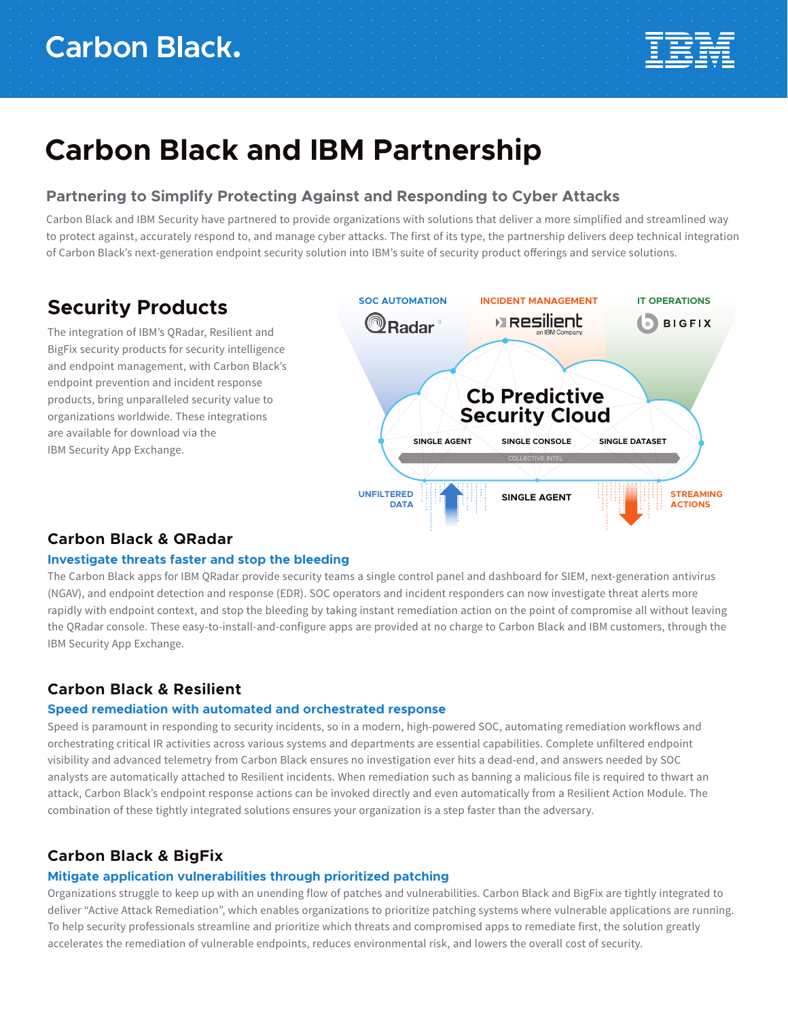

# **Carbon Black and IBM Partnership**

# **Partnering to Simplify Protecting Against and Responding to Cyber Attacks**

Carbon Black and IBM Security have partnered to provide organizations with solutions that deliver a more simplified and streamlined way to protect against, accurately respond to, and manage cyber attacks. The first of its type, the partnership delivers deep technical integration of Carbon Black's next-generation endpoint security solution into IBM's suite of security product offerings and service solutions.

# **Security Products**

The integration of IBM's QRadar, Resilient and BigFix security products for security intelligence and endpoint management, with Carbon Black's endpoint prevention and incident response products, bring unparalleled security value to organizations worldwide. These integrations are available for download via the IBM Security App Exchange.



## **Carbon Black & QRadar**

### **Investigate threats faster and stop the bleeding**

The Carbon Black apps for IBM QRadar provide security teams a single control panel and dashboard for SIEM, next-generation antivirus (NGAV), and endpoint detection and response (EDR). SOC operators and incident responders can now investigate threat alerts more rapidly with endpoint context, and stop the bleeding by taking instant remediation action on the point of compromise all without leaving the QRadar console. These easy-to-install-and-configure apps are provided at no charge to Carbon Black and IBM customers, through the IBM Security App Exchange.

# **Carbon Black & Resilient**

### **Speed remediation with automated and orchestrated response**

Speed is paramount in responding to security incidents, so in a modern, high-powered SOC, automating remediation workflows and orchestrating critical IR activities across various systems and departments are essential capabilities. Complete unfiltered endpoint visibility and advanced telemetry from Carbon Black ensures no investigation ever hits a dead-end, and answers needed by SOC analysts are automatically attached to Resilient incidents. When remediation such as banning a malicious file is required to thwart an attack, Carbon Black's endpoint response actions can be invoked directly and even automatically from a Resilient Action Module. The combination of these tightly integrated solutions ensures your organization is a step faster than the adversary.

## **Carbon Black & BigFix**

### **Mitigate application vulnerabilities through prioritized patching**

Organizations struggle to keep up with an unending flow of patches and vulnerabilities. Carbon Black and BigFix are tightly integrated to deliver "Active Attack Remediation", which enables organizations to prioritize patching systems where vulnerable applications are running. To help security professionals streamline and prioritize which threats and compromised apps to remediate first, the solution greatly accelerates the remediation of vulnerable endpoints, reduces environmental risk, and lowers the overall cost of security.